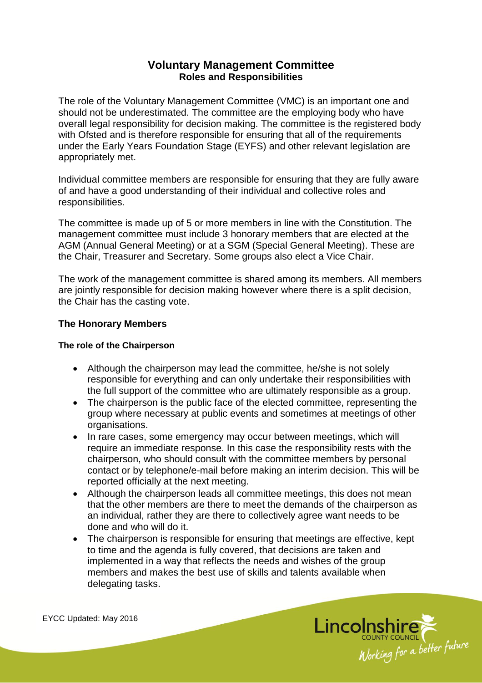# **Voluntary Management Committee Roles and Responsibilities**

The role of the Voluntary Management Committee (VMC) is an important one and should not be underestimated. The committee are the employing body who have overall legal responsibility for decision making. The committee is the registered body with Ofsted and is therefore responsible for ensuring that all of the requirements under the Early Years Foundation Stage (EYFS) and other relevant legislation are appropriately met.

Individual committee members are responsible for ensuring that they are fully aware of and have a good understanding of their individual and collective roles and responsibilities.

The committee is made up of 5 or more members in line with the Constitution. The management committee must include 3 honorary members that are elected at the AGM (Annual General Meeting) or at a SGM (Special General Meeting). These are the Chair, Treasurer and Secretary. Some groups also elect a Vice Chair.

The work of the management committee is shared among its members. All members are jointly responsible for decision making however where there is a split decision, the Chair has the casting vote.

# **The Honorary Members**

#### **The role of the Chairperson**

- Although the chairperson may lead the committee, he/she is not solely responsible for everything and can only undertake their responsibilities with the full support of the committee who are ultimately responsible as a group.
- The chairperson is the public face of the elected committee, representing the group where necessary at public events and sometimes at meetings of other organisations.
- In rare cases, some emergency may occur between meetings, which will require an immediate response. In this case the responsibility rests with the chairperson, who should consult with the committee members by personal contact or by telephone/e-mail before making an interim decision. This will be reported officially at the next meeting.
- Although the chairperson leads all committee meetings, this does not mean that the other members are there to meet the demands of the chairperson as an individual, rather they are there to collectively agree want needs to be done and who will do it.
- The chairperson is responsible for ensuring that meetings are effective, kept to time and the agenda is fully covered, that decisions are taken and implemented in a way that reflects the needs and wishes of the group members and makes the best use of skills and talents available when delegating tasks.

EYCC Updated: May 2016

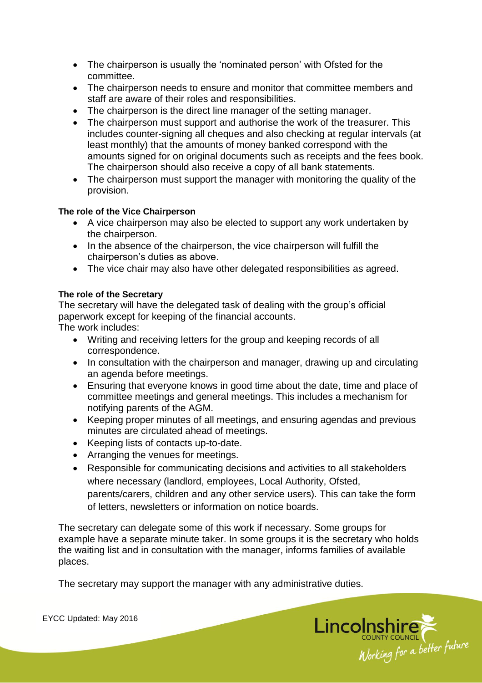- The chairperson is usually the 'nominated person' with Ofsted for the committee.
- The chairperson needs to ensure and monitor that committee members and staff are aware of their roles and responsibilities.
- The chairperson is the direct line manager of the setting manager.
- The chairperson must support and authorise the work of the treasurer. This includes counter-signing all cheques and also checking at regular intervals (at least monthly) that the amounts of money banked correspond with the amounts signed for on original documents such as receipts and the fees book. The chairperson should also receive a copy of all bank statements.
- The chairperson must support the manager with monitoring the quality of the provision.

# **The role of the Vice Chairperson**

- A vice chairperson may also be elected to support any work undertaken by the chairperson.
- In the absence of the chairperson, the vice chairperson will fulfill the chairperson's duties as above.
- The vice chair may also have other delegated responsibilities as agreed.

# **The role of the Secretary**

The secretary will have the delegated task of dealing with the group's official paperwork except for keeping of the financial accounts.

The work includes:

- Writing and receiving letters for the group and keeping records of all correspondence.
- In consultation with the chairperson and manager, drawing up and circulating an agenda before meetings.
- Ensuring that everyone knows in good time about the date, time and place of committee meetings and general meetings. This includes a mechanism for notifying parents of the AGM.
- Keeping proper minutes of all meetings, and ensuring agendas and previous minutes are circulated ahead of meetings.
- Keeping lists of contacts up-to-date.
- Arranging the venues for meetings.
- Responsible for communicating decisions and activities to all stakeholders where necessary (landlord, employees, Local Authority, Ofsted, parents/carers, children and any other service users). This can take the form of letters, newsletters or information on notice boards.

The secretary can delegate some of this work if necessary. Some groups for example have a separate minute taker. In some groups it is the secretary who holds the waiting list and in consultation with the manager, informs families of available places.

The secretary may support the manager with any administrative duties.



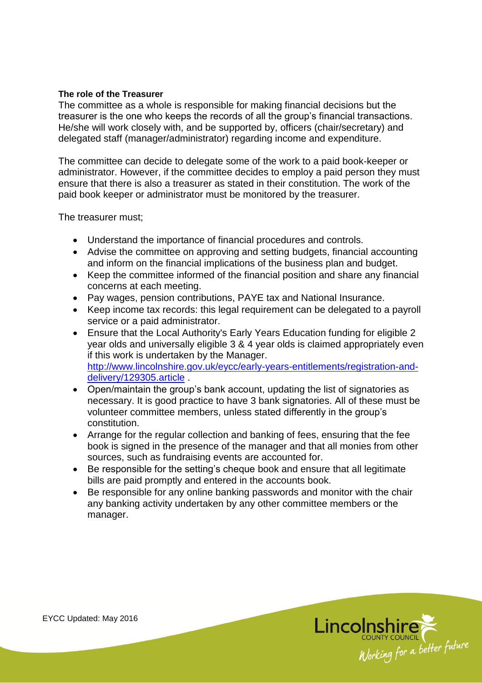#### **The role of the Treasurer**

The committee as a whole is responsible for making financial decisions but the treasurer is the one who keeps the records of all the group's financial transactions. He/she will work closely with, and be supported by, officers (chair/secretary) and delegated staff (manager/administrator) regarding income and expenditure.

The committee can decide to delegate some of the work to a paid book-keeper or administrator. However, if the committee decides to employ a paid person they must ensure that there is also a treasurer as stated in their constitution. The work of the paid book keeper or administrator must be monitored by the treasurer.

The treasurer must;

- Understand the importance of financial procedures and controls.
- Advise the committee on approving and setting budgets, financial accounting and inform on the financial implications of the business plan and budget.
- Keep the committee informed of the financial position and share any financial concerns at each meeting.
- Pay wages, pension contributions, PAYE tax and National Insurance.
- Keep income tax records: this legal requirement can be delegated to a payroll service or a paid administrator.
- Ensure that the Local Authority's Early Years Education funding for eligible 2 year olds and universally eligible 3 & 4 year olds is claimed appropriately even if this work is undertaken by the Manager. [http://www.lincolnshire.gov.uk/eycc/early-years-entitlements/registration-and](http://www.lincolnshire.gov.uk/eycc/early-years-entitlements/registration-and-delivery/129305.article)[delivery/129305.article](http://www.lincolnshire.gov.uk/eycc/early-years-entitlements/registration-and-delivery/129305.article) .
- Open/maintain the group's bank account, updating the list of signatories as necessary. It is good practice to have 3 bank signatories. All of these must be volunteer committee members, unless stated differently in the group's constitution.
- Arrange for the regular collection and banking of fees, ensuring that the fee book is signed in the presence of the manager and that all monies from other sources, such as fundraising events are accounted for.
- Be responsible for the setting's cheque book and ensure that all legitimate bills are paid promptly and entered in the accounts book.
- Be responsible for any online banking passwords and monitor with the chair any banking activity undertaken by any other committee members or the manager.

Lincolnshire<br>
Working for a better future

EYCC Updated: May 2016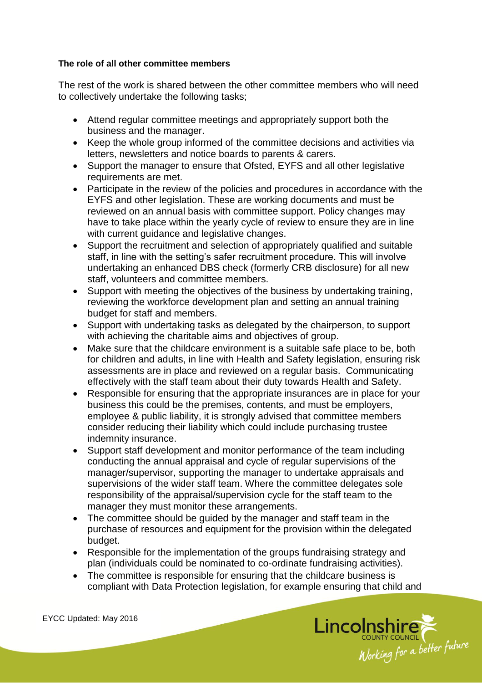#### **The role of all other committee members**

The rest of the work is shared between the other committee members who will need to collectively undertake the following tasks;

- Attend regular committee meetings and appropriately support both the business and the manager.
- Keep the whole group informed of the committee decisions and activities via letters, newsletters and notice boards to parents & carers.
- Support the manager to ensure that Ofsted, EYFS and all other legislative requirements are met.
- Participate in the review of the policies and procedures in accordance with the EYFS and other legislation. These are working documents and must be reviewed on an annual basis with committee support. Policy changes may have to take place within the yearly cycle of review to ensure they are in line with current guidance and legislative changes.
- Support the recruitment and selection of appropriately qualified and suitable staff, in line with the setting's safer recruitment procedure. This will involve undertaking an enhanced DBS check (formerly CRB disclosure) for all new staff, volunteers and committee members.
- Support with meeting the objectives of the business by undertaking training, reviewing the workforce development plan and setting an annual training budget for staff and members.
- Support with undertaking tasks as delegated by the chairperson, to support with achieving the charitable aims and objectives of group.
- Make sure that the childcare environment is a suitable safe place to be, both for children and adults, in line with Health and Safety legislation, ensuring risk assessments are in place and reviewed on a regular basis. Communicating effectively with the staff team about their duty towards Health and Safety.
- Responsible for ensuring that the appropriate insurances are in place for your business this could be the premises, contents, and must be employers, employee & public liability, it is strongly advised that committee members consider reducing their liability which could include purchasing trustee indemnity insurance.
- Support staff development and monitor performance of the team including conducting the annual appraisal and cycle of regular supervisions of the manager/supervisor, supporting the manager to undertake appraisals and supervisions of the wider staff team. Where the committee delegates sole responsibility of the appraisal/supervision cycle for the staff team to the manager they must monitor these arrangements.
- The committee should be guided by the manager and staff team in the purchase of resources and equipment for the provision within the delegated budget.
- Responsible for the implementation of the groups fundraising strategy and plan (individuals could be nominated to co-ordinate fundraising activities).
- The committee is responsible for ensuring that the childcare business is compliant with Data Protection legislation, for example ensuring that child and



EYCC Updated: May 2016